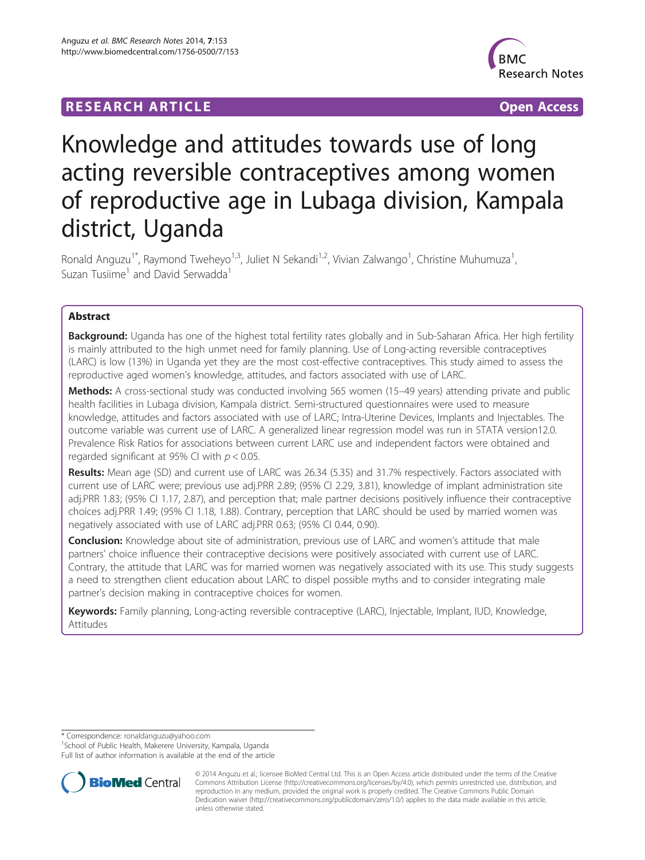## **RESEARCH ARTICLE Example 2018 12:00 Department 2018 12:00 Department 2018 12:00 Department 2018 12:00 Department 2018 12:00 Department 2018 12:00 Department 2018 12:00 Department 2018 12:00 Department 2018 12:00 Departm**



# Knowledge and attitudes towards use of long acting reversible contraceptives among women of reproductive age in Lubaga division, Kampala district, Uganda

Ronald Anguzu<sup>1\*</sup>, Raymond Tweheyo<sup>1,3</sup>, Juliet N Sekandi<sup>1,2</sup>, Vivian Zalwango<sup>1</sup>, Christine Muhumuza<sup>1</sup> , Suzan Tusiime<sup>1</sup> and David Serwadda<sup>1</sup>

## Abstract

Background: Uganda has one of the highest total fertility rates globally and in Sub-Saharan Africa. Her high fertility is mainly attributed to the high unmet need for family planning. Use of Long-acting reversible contraceptives (LARC) is low (13%) in Uganda yet they are the most cost-effective contraceptives. This study aimed to assess the reproductive aged women's knowledge, attitudes, and factors associated with use of LARC.

Methods: A cross-sectional study was conducted involving 565 women (15–49 years) attending private and public health facilities in Lubaga division, Kampala district. Semi-structured questionnaires were used to measure knowledge, attitudes and factors associated with use of LARC; Intra-Uterine Devices, Implants and Injectables. The outcome variable was current use of LARC. A generalized linear regression model was run in STATA version12.0. Prevalence Risk Ratios for associations between current LARC use and independent factors were obtained and regarded significant at 95% CI with  $p < 0.05$ .

Results: Mean age (SD) and current use of LARC was 26.34 (5.35) and 31.7% respectively. Factors associated with current use of LARC were; previous use adj.PRR 2.89; (95% CI 2.29, 3.81), knowledge of implant administration site adj.PRR 1.83; (95% CI 1.17, 2.87), and perception that; male partner decisions positively influence their contraceptive choices adj.PRR 1.49; (95% CI 1.18, 1.88). Contrary, perception that LARC should be used by married women was negatively associated with use of LARC adj.PRR 0.63; (95% CI 0.44, 0.90).

**Conclusion:** Knowledge about site of administration, previous use of LARC and women's attitude that male partners' choice influence their contraceptive decisions were positively associated with current use of LARC. Contrary, the attitude that LARC was for married women was negatively associated with its use. This study suggests a need to strengthen client education about LARC to dispel possible myths and to consider integrating male partner's decision making in contraceptive choices for women.

Keywords: Family planning, Long-acting reversible contraceptive (LARC), Injectable, Implant, IUD, Knowledge, Attitudes

\* Correspondence: [ronaldanguzu@yahoo.com](mailto:ronaldanguzu@yahoo.com) <sup>1</sup>

<sup>1</sup>School of Public Health, Makerere University, Kampala, Uganda

Full list of author information is available at the end of the article



<sup>© 2014</sup> Anguzu et al.; licensee BioMed Central Ltd. This is an Open Access article distributed under the terms of the Creative Commons Attribution License [\(http://creativecommons.org/licenses/by/4.0\)](http://creativecommons.org/licenses/by/4.0), which permits unrestricted use, distribution, and reproduction in any medium, provided the original work is properly credited. The Creative Commons Public Domain Dedication waiver [\(http://creativecommons.org/publicdomain/zero/1.0/](http://creativecommons.org/publicdomain/zero/1.0/)) applies to the data made available in this article, unless otherwise stated.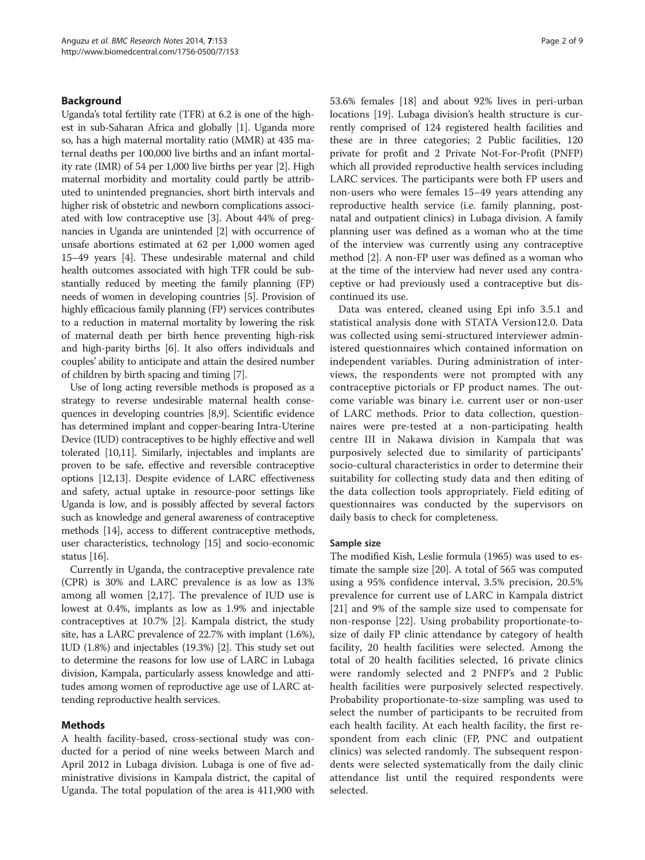## Background

Uganda's total fertility rate (TFR) at 6.2 is one of the highest in sub-Saharan Africa and globally [\[1\]](#page-7-0). Uganda more so, has a high maternal mortality ratio (MMR) at 435 maternal deaths per 100,000 live births and an infant mortality rate (IMR) of 54 per 1,000 live births per year [[2\]](#page-7-0). High maternal morbidity and mortality could partly be attributed to unintended pregnancies, short birth intervals and higher risk of obstetric and newborn complications associated with low contraceptive use [[3](#page-7-0)]. About 44% of pregnancies in Uganda are unintended [[2\]](#page-7-0) with occurrence of unsafe abortions estimated at 62 per 1,000 women aged 15–49 years [\[4](#page-7-0)]. These undesirable maternal and child health outcomes associated with high TFR could be substantially reduced by meeting the family planning (FP) needs of women in developing countries [\[5](#page-7-0)]. Provision of highly efficacious family planning (FP) services contributes to a reduction in maternal mortality by lowering the risk of maternal death per birth hence preventing high-risk and high-parity births [\[6](#page-7-0)]. It also offers individuals and couples' ability to anticipate and attain the desired number of children by birth spacing and timing [\[7](#page-7-0)].

Use of long acting reversible methods is proposed as a strategy to reverse undesirable maternal health consequences in developing countries [\[8,9\]](#page-7-0). Scientific evidence has determined implant and copper-bearing Intra-Uterine Device (IUD) contraceptives to be highly effective and well tolerated [[10](#page-7-0),[11](#page-7-0)]. Similarly, injectables and implants are proven to be safe, effective and reversible contraceptive options [\[12,13](#page-7-0)]. Despite evidence of LARC effectiveness and safety, actual uptake in resource-poor settings like Uganda is low, and is possibly affected by several factors such as knowledge and general awareness of contraceptive methods [\[14](#page-7-0)], access to different contraceptive methods, user characteristics, technology [[15](#page-8-0)] and socio-economic status [\[16](#page-8-0)].

Currently in Uganda, the contraceptive prevalence rate (CPR) is 30% and LARC prevalence is as low as 13% among all women [\[2](#page-7-0)[,17](#page-8-0)]. The prevalence of IUD use is lowest at 0.4%, implants as low as 1.9% and injectable contraceptives at 10.7% [\[2](#page-7-0)]. Kampala district, the study site, has a LARC prevalence of 22.7% with implant (1.6%), IUD (1.8%) and injectables (19.3%) [[2\]](#page-7-0). This study set out to determine the reasons for low use of LARC in Lubaga division, Kampala, particularly assess knowledge and attitudes among women of reproductive age use of LARC attending reproductive health services.

## Methods

A health facility-based, cross-sectional study was conducted for a period of nine weeks between March and April 2012 in Lubaga division. Lubaga is one of five administrative divisions in Kampala district, the capital of Uganda. The total population of the area is 411,900 with 53.6% females [\[18\]](#page-8-0) and about 92% lives in peri-urban locations [\[19](#page-8-0)]. Lubaga division's health structure is currently comprised of 124 registered health facilities and these are in three categories; 2 Public facilities, 120 private for profit and 2 Private Not-For-Profit (PNFP) which all provided reproductive health services including LARC services. The participants were both FP users and non-users who were females 15–49 years attending any reproductive health service (i.e. family planning, postnatal and outpatient clinics) in Lubaga division. A family planning user was defined as a woman who at the time of the interview was currently using any contraceptive method [\[2](#page-7-0)]. A non-FP user was defined as a woman who at the time of the interview had never used any contraceptive or had previously used a contraceptive but discontinued its use.

Data was entered, cleaned using Epi info 3.5.1 and statistical analysis done with STATA Version12.0. Data was collected using semi-structured interviewer administered questionnaires which contained information on independent variables. During administration of interviews, the respondents were not prompted with any contraceptive pictorials or FP product names. The outcome variable was binary i.e. current user or non-user of LARC methods. Prior to data collection, questionnaires were pre-tested at a non-participating health centre III in Nakawa division in Kampala that was purposively selected due to similarity of participants' socio-cultural characteristics in order to determine their suitability for collecting study data and then editing of the data collection tools appropriately. Field editing of questionnaires was conducted by the supervisors on daily basis to check for completeness.

#### Sample size

The modified Kish, Leslie formula (1965) was used to estimate the sample size [[20\]](#page-8-0). A total of 565 was computed using a 95% confidence interval, 3.5% precision, 20.5% prevalence for current use of LARC in Kampala district [[21\]](#page-8-0) and 9% of the sample size used to compensate for non-response [[22\]](#page-8-0). Using probability proportionate-tosize of daily FP clinic attendance by category of health facility, 20 health facilities were selected. Among the total of 20 health facilities selected, 16 private clinics were randomly selected and 2 PNFP's and 2 Public health facilities were purposively selected respectively. Probability proportionate-to-size sampling was used to select the number of participants to be recruited from each health facility. At each health facility, the first respondent from each clinic (FP, PNC and outpatient clinics) was selected randomly. The subsequent respondents were selected systematically from the daily clinic attendance list until the required respondents were selected.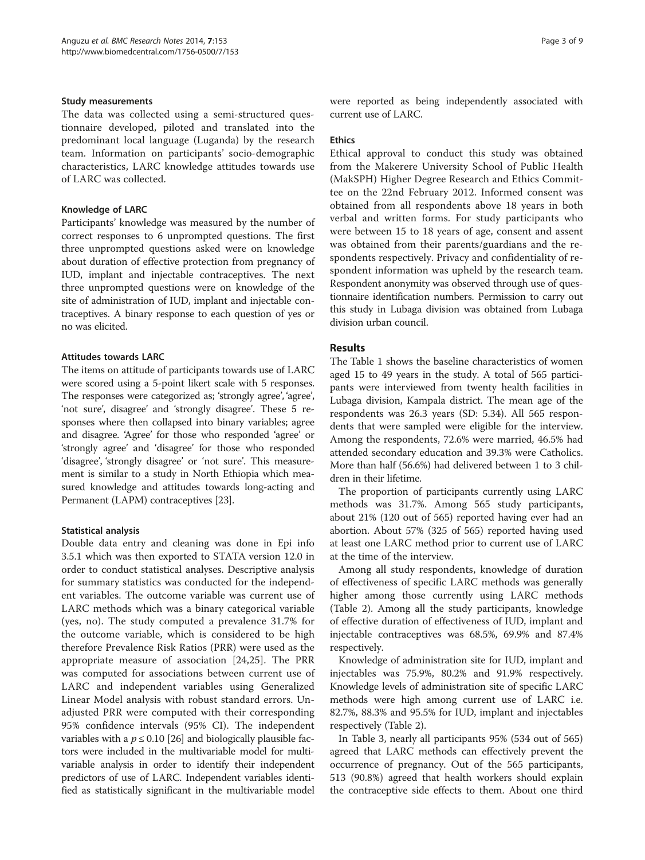#### Study measurements

The data was collected using a semi-structured questionnaire developed, piloted and translated into the predominant local language (Luganda) by the research team. Information on participants' socio-demographic characteristics, LARC knowledge attitudes towards use of LARC was collected.

#### Knowledge of LARC

Participants' knowledge was measured by the number of correct responses to 6 unprompted questions. The first three unprompted questions asked were on knowledge about duration of effective protection from pregnancy of IUD, implant and injectable contraceptives. The next three unprompted questions were on knowledge of the site of administration of IUD, implant and injectable contraceptives. A binary response to each question of yes or no was elicited.

## Attitudes towards LARC

The items on attitude of participants towards use of LARC were scored using a 5-point likert scale with 5 responses. The responses were categorized as; 'strongly agree', 'agree', 'not sure', disagree' and 'strongly disagree'. These 5 responses where then collapsed into binary variables; agree and disagree. 'Agree' for those who responded 'agree' or 'strongly agree' and 'disagree' for those who responded 'disagree', 'strongly disagree' or 'not sure'. This measurement is similar to a study in North Ethiopia which measured knowledge and attitudes towards long-acting and Permanent (LAPM) contraceptives [[23](#page-8-0)].

#### Statistical analysis

Double data entry and cleaning was done in Epi info 3.5.1 which was then exported to STATA version 12.0 in order to conduct statistical analyses. Descriptive analysis for summary statistics was conducted for the independent variables. The outcome variable was current use of LARC methods which was a binary categorical variable (yes, no). The study computed a prevalence 31.7% for the outcome variable, which is considered to be high therefore Prevalence Risk Ratios (PRR) were used as the appropriate measure of association [[24,25](#page-8-0)]. The PRR was computed for associations between current use of LARC and independent variables using Generalized Linear Model analysis with robust standard errors. Unadjusted PRR were computed with their corresponding 95% confidence intervals (95% CI). The independent variables with a  $p \leq 0.10$  [[26](#page-8-0)] and biologically plausible factors were included in the multivariable model for multivariable analysis in order to identify their independent predictors of use of LARC. Independent variables identified as statistically significant in the multivariable model were reported as being independently associated with current use of LARC.

### **Ethics**

Ethical approval to conduct this study was obtained from the Makerere University School of Public Health (MakSPH) Higher Degree Research and Ethics Committee on the 22nd February 2012. Informed consent was obtained from all respondents above 18 years in both verbal and written forms. For study participants who were between 15 to 18 years of age, consent and assent was obtained from their parents/guardians and the respondents respectively. Privacy and confidentiality of respondent information was upheld by the research team. Respondent anonymity was observed through use of questionnaire identification numbers. Permission to carry out this study in Lubaga division was obtained from Lubaga division urban council.

## Results

The Table [1](#page-3-0) shows the baseline characteristics of women aged 15 to 49 years in the study. A total of 565 participants were interviewed from twenty health facilities in Lubaga division, Kampala district. The mean age of the respondents was 26.3 years (SD: 5.34). All 565 respondents that were sampled were eligible for the interview. Among the respondents, 72.6% were married, 46.5% had attended secondary education and 39.3% were Catholics. More than half (56.6%) had delivered between 1 to 3 children in their lifetime.

The proportion of participants currently using LARC methods was 31.7%. Among 565 study participants, about 21% (120 out of 565) reported having ever had an abortion. About 57% (325 of 565) reported having used at least one LARC method prior to current use of LARC at the time of the interview.

Among all study respondents, knowledge of duration of effectiveness of specific LARC methods was generally higher among those currently using LARC methods (Table [2](#page-3-0)). Among all the study participants, knowledge of effective duration of effectiveness of IUD, implant and injectable contraceptives was 68.5%, 69.9% and 87.4% respectively.

Knowledge of administration site for IUD, implant and injectables was 75.9%, 80.2% and 91.9% respectively. Knowledge levels of administration site of specific LARC methods were high among current use of LARC i.e. 82.7%, 88.3% and 95.5% for IUD, implant and injectables respectively (Table [2](#page-3-0)).

In Table [3,](#page-3-0) nearly all participants 95% (534 out of 565) agreed that LARC methods can effectively prevent the occurrence of pregnancy. Out of the 565 participants, 513 (90.8%) agreed that health workers should explain the contraceptive side effects to them. About one third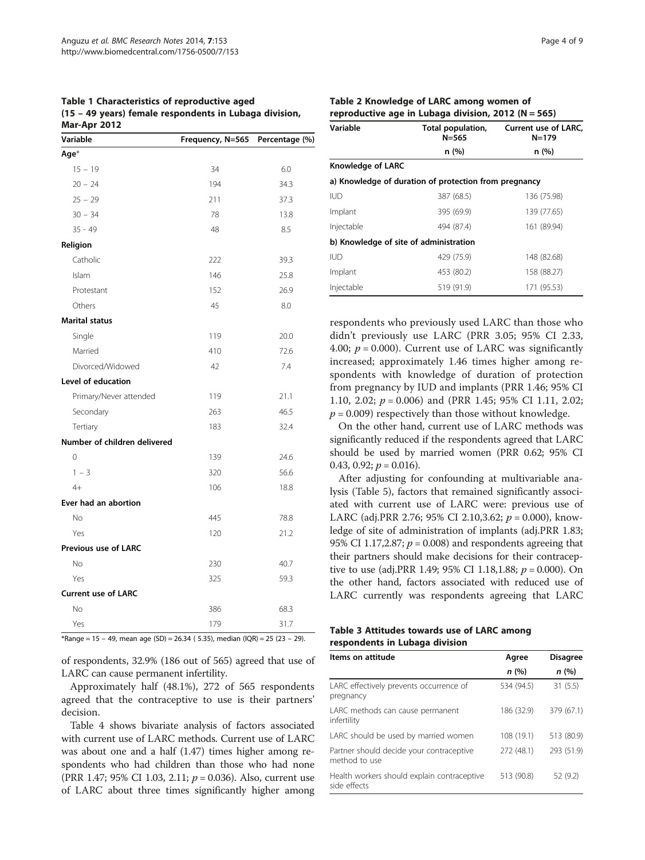<span id="page-3-0"></span>Table 1 Characteristics of reproductive aged (15 – 49 years) female respondents in Lubaga division, Mar-Apr 2012

| Variable                     | Frequency, N=565 Percentage (%) |      |
|------------------------------|---------------------------------|------|
| Age*                         |                                 |      |
| $15 - 19$                    | 34                              | 6.0  |
| $20 - 24$                    | 194                             | 34.3 |
| $25 - 29$                    | 211                             | 37.3 |
| $30 - 34$                    | 78                              | 13.8 |
| $35 - 49$                    | 48                              | 8.5  |
| Religion                     |                                 |      |
| Catholic                     | 222                             | 39.3 |
| Islam                        | 146                             | 25.8 |
| Protestant                   | 152                             | 26.9 |
| Others                       | 45                              | 8.0  |
| <b>Marital status</b>        |                                 |      |
| Single                       | 119                             | 20.0 |
| Married                      | 410                             | 72.6 |
| Divorced/Widowed             | 42                              | 7.4  |
| Level of education           |                                 |      |
| Primary/Never attended       | 119                             | 21.1 |
| Secondary                    | 263                             | 46.5 |
| Tertiary                     | 183                             | 32.4 |
| Number of children delivered |                                 |      |
| 0                            | 139                             | 24.6 |
| $1 - 3$                      | 320                             | 56.6 |
| $4+$                         | 106                             | 18.8 |
| Ever had an abortion         |                                 |      |
| <b>No</b>                    | 445                             | 78.8 |
| Yes                          | 120                             | 21.2 |
| Previous use of LARC         |                                 |      |
| <b>No</b>                    | 230                             | 40.7 |
| Yes                          | 325                             | 59.3 |
| <b>Current use of LARC</b>   |                                 |      |
| <b>No</b>                    | 386                             | 68.3 |
| Yes                          | 179                             | 31.7 |

 $*$ Range = 15 - 49, mean age (SD) = 26.34 (5.35), median (IQR) = 25 (23 - 29).

of respondents, 32.9% (186 out of 565) agreed that use of LARC can cause permanent infertility.

Approximately half (48.1%), 272 of 565 respondents agreed that the contraceptive to use is their partners' decision.

Table [4](#page-4-0) shows bivariate analysis of factors associated with current use of LARC methods. Current use of LARC was about one and a half (1.47) times higher among respondents who had children than those who had none (PRR 1.47; 95% CI 1.03, 2.11;  $p = 0.036$ ). Also, current use of LARC about three times significantly higher among

| Table 2 Knowledge of LARC among women of                |  |  |
|---------------------------------------------------------|--|--|
| reproductive age in Lubaga division, 2012 ( $N = 565$ ) |  |  |

| Variable                               | Total population,<br>$N = 565$                        | Current use of LARC,<br>$N = 179$ |  |
|----------------------------------------|-------------------------------------------------------|-----------------------------------|--|
|                                        | n (%)                                                 | n(%)                              |  |
| <b>Knowledge of LARC</b>               |                                                       |                                   |  |
|                                        | a) Knowledge of duration of protection from pregnancy |                                   |  |
| <b>IUD</b>                             | 387 (68.5)                                            | 136 (75.98)                       |  |
| Implant                                | 395 (69.9)                                            | 139 (77.65)                       |  |
| Injectable                             | 494 (87.4)                                            | 161 (89.94)                       |  |
| b) Knowledge of site of administration |                                                       |                                   |  |
| <b>IUD</b>                             | 429 (75.9)                                            | 148 (82.68)                       |  |
| Implant                                | 453 (80.2)                                            | 158 (88.27)                       |  |
| Injectable                             | 519 (91.9)                                            | 171 (95.53)                       |  |

respondents who previously used LARC than those who didn't previously use LARC (PRR 3.05; 95% CI 2.33, 4.00;  $p = 0.000$ ). Current use of LARC was significantly increased; approximately 1.46 times higher among respondents with knowledge of duration of protection from pregnancy by IUD and implants (PRR 1.46; 95% CI 1.10, 2.02;  $p = 0.006$ ) and (PRR 1.45; 95% CI 1.11, 2.02;  $p = 0.009$ ) respectively than those without knowledge.

On the other hand, current use of LARC methods was significantly reduced if the respondents agreed that LARC should be used by married women (PRR 0.62; 95% CI 0.43, 0.92;  $p = 0.016$ ).

After adjusting for confounding at multivariable analysis (Table [5\)](#page-6-0), factors that remained significantly associated with current use of LARC were: previous use of LARC (adj.PRR 2.76; 95% CI 2.10,3.62;  $p = 0.000$ ), knowledge of site of administration of implants (adj.PRR 1.83; 95% CI 1.17,2.87;  $p = 0.008$ ) and respondents agreeing that their partners should make decisions for their contraceptive to use (adj.PRR 1.49; 95% CI 1.18,1.88;  $p = 0.000$ ). On the other hand, factors associated with reduced use of LARC currently was respondents agreeing that LARC

|  |  |                                |  |  | Table 3 Attitudes towards use of LARC among |
|--|--|--------------------------------|--|--|---------------------------------------------|
|  |  | respondents in Lubaga division |  |  |                                             |

| Items on attitude                                           | Agree      | <b>Disagree</b> |
|-------------------------------------------------------------|------------|-----------------|
|                                                             | n(%)       | n (%)           |
| LARC effectively prevents occurrence of<br>pregnancy        | 534 (94.5) | 31(5.5)         |
| LARC methods can cause permanent<br>infertility             | 186 (32.9) | 379 (67.1)      |
| LARC should be used by married women                        | 108 (19.1) | 513 (80.9)      |
| Partner should decide your contraceptive<br>method to use   | 272 (48.1) | 293 (51.9)      |
| Health workers should explain contraceptive<br>side effects | 513 (90.8) | 52 (9.2)        |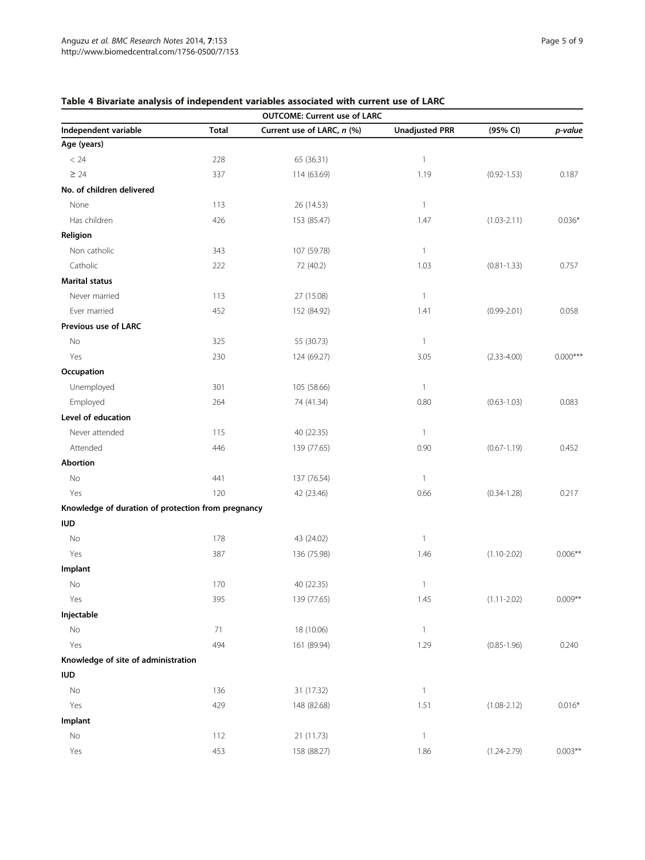## <span id="page-4-0"></span>Table 4 Bivariate analysis of independent variables associated with current use of LARC

|                                                    |              | <b>OUTCOME: Current use of LARC</b> |                       |                 |            |
|----------------------------------------------------|--------------|-------------------------------------|-----------------------|-----------------|------------|
| Independent variable                               | <b>Total</b> | Current use of LARC, n (%)          | <b>Unadjusted PRR</b> | (95% CI)        | p-value    |
| Age (years)                                        |              |                                     |                       |                 |            |
| < 24                                               | 228          | 65 (36.31)                          | $\mathbf{1}$          |                 |            |
| $\geq 24$                                          | 337          | 114 (63.69)                         | 1.19                  | $(0.92 - 1.53)$ | 0.187      |
| No. of children delivered                          |              |                                     |                       |                 |            |
| None                                               | 113          | 26 (14.53)                          | $\mathbf{1}$          |                 |            |
| Has children                                       | 426          | 153 (85.47)                         | 1.47                  | $(1.03 - 2.11)$ | $0.036*$   |
| Religion                                           |              |                                     |                       |                 |            |
| Non catholic                                       | 343          | 107 (59.78)                         | 1                     |                 |            |
| Catholic                                           | 222          | 72 (40.2)                           | 1.03                  | $(0.81 - 1.33)$ | 0.757      |
| <b>Marital status</b>                              |              |                                     |                       |                 |            |
| Never married                                      | 113          | 27 (15.08)                          | $\mathbf{1}$          |                 |            |
| Ever married                                       | 452          | 152 (84.92)                         | 1.41                  | $(0.99 - 2.01)$ | 0.058      |
| Previous use of LARC                               |              |                                     |                       |                 |            |
| No                                                 | 325          | 55 (30.73)                          | $\mathbf{1}$          |                 |            |
| Yes                                                | 230          | 124 (69.27)                         | 3.05                  | $(2.33 - 4.00)$ | $0.000***$ |
| Occupation                                         |              |                                     |                       |                 |            |
| Unemployed                                         | 301          | 105 (58.66)                         | 1                     |                 |            |
| Employed                                           | 264          | 74 (41.34)                          | 0.80                  | $(0.63 - 1.03)$ | 0.083      |
| Level of education                                 |              |                                     |                       |                 |            |
| Never attended                                     | 115          | 40 (22.35)                          | $\mathbf{1}$          |                 |            |
| Attended                                           | 446          | 139 (77.65)                         | 0.90                  | $(0.67 - 1.19)$ | 0.452      |
| Abortion                                           |              |                                     |                       |                 |            |
| No                                                 | 441          | 137 (76.54)                         | 1                     |                 |            |
| Yes                                                | 120          | 42 (23.46)                          | 0.66                  | $(0.34 - 1.28)$ | 0.217      |
| Knowledge of duration of protection from pregnancy |              |                                     |                       |                 |            |
| <b>IUD</b>                                         |              |                                     |                       |                 |            |
| No                                                 | 178          | 43 (24.02)                          | $\mathbf{1}$          |                 |            |
| Yes                                                | 387          | 136 (75.98)                         | 1.46                  | $(1.10 - 2.02)$ | $0.006**$  |
| Implant                                            |              |                                     |                       |                 |            |
| No                                                 | 170          | 40 (22.35)                          | 1                     |                 |            |
| Yes                                                | 395          | 139 (77.65)                         | $1.45\,$              | $(1.11 - 2.02)$ | $0.009**$  |
| Injectable                                         |              |                                     |                       |                 |            |
| No                                                 | 71           | 18 (10.06)                          | $\mathbf{1}$          |                 |            |
| Yes                                                | 494          | 161 (89.94)                         | 1.29                  | $(0.85 - 1.96)$ | 0.240      |
| Knowledge of site of administration                |              |                                     |                       |                 |            |
| <b>IUD</b>                                         |              |                                     |                       |                 |            |
| No                                                 | 136          | 31 (17.32)                          | $\mathbbm{1}$         |                 |            |
| Yes                                                | 429          | 148 (82.68)                         | 1.51                  | $(1.08 - 2.12)$ | $0.016*$   |
| Implant                                            |              |                                     |                       |                 |            |
| No                                                 | 112          | 21 (11.73)                          | $\mathbf{1}$          |                 |            |
| Yes                                                | 453          | 158 (88.27)                         | 1.86                  | $(1.24 - 2.79)$ | $0.003***$ |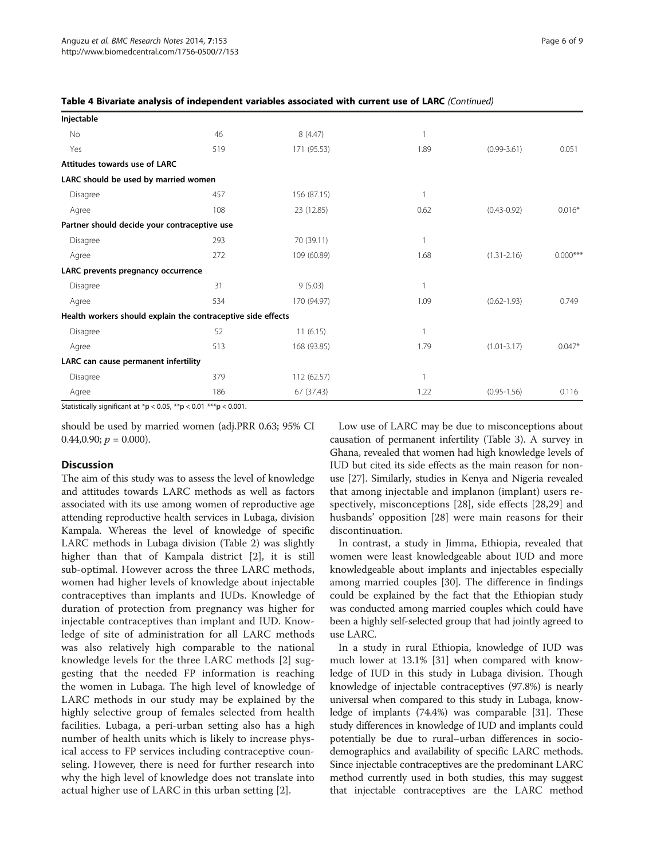| 46                                           | 8(4.47)     |                                                              |                 |            |
|----------------------------------------------|-------------|--------------------------------------------------------------|-----------------|------------|
| 519                                          | 171 (95.53) | 1.89                                                         | $(0.99 - 3.61)$ | 0.051      |
| Attitudes towards use of LARC                |             |                                                              |                 |            |
| LARC should be used by married women         |             |                                                              |                 |            |
| 457                                          | 156 (87.15) |                                                              |                 |            |
| 108                                          | 23 (12.85)  | 0.62                                                         | $(0.43 - 0.92)$ | $0.016*$   |
| Partner should decide your contraceptive use |             |                                                              |                 |            |
| 293                                          | 70 (39.11)  |                                                              |                 |            |
| 272                                          | 109 (60.89) | 1.68                                                         | $(1.31 - 2.16)$ | $0.000***$ |
| LARC prevents pregnancy occurrence           |             |                                                              |                 |            |
| 31                                           | 9(5.03)     |                                                              |                 |            |
| 534                                          | 170 (94.97) | 1.09                                                         | $(0.62 - 1.93)$ | 0.749      |
|                                              |             |                                                              |                 |            |
| 52                                           | 11(6.15)    |                                                              |                 |            |
| 513                                          | 168 (93.85) | 1.79                                                         | $(1.01 - 3.17)$ | $0.047*$   |
| LARC can cause permanent infertility         |             |                                                              |                 |            |
| 379                                          | 112 (62.57) |                                                              |                 |            |
| 186                                          | 67 (37.43)  | 1.22                                                         | $(0.95 - 1.56)$ | 0.116      |
|                                              |             | Health workers should explain the contraceptive side effects |                 |            |

| Table 4 Bivariate analysis of independent variables associated with current use of LARC (Continued) |  |
|-----------------------------------------------------------------------------------------------------|--|
|-----------------------------------------------------------------------------------------------------|--|

Statistically significant at \*p < 0.05, \*\*p < 0.01 \*\*\*p < 0.001.

should be used by married women (adj.PRR 0.63; 95% CI  $0.44, 0.90; p = 0.000$ .

## **Discussion**

The aim of this study was to assess the level of knowledge and attitudes towards LARC methods as well as factors associated with its use among women of reproductive age attending reproductive health services in Lubaga, division Kampala. Whereas the level of knowledge of specific LARC methods in Lubaga division (Table [2\)](#page-3-0) was slightly higher than that of Kampala district [[2\]](#page-7-0), it is still sub-optimal. However across the three LARC methods, women had higher levels of knowledge about injectable contraceptives than implants and IUDs. Knowledge of duration of protection from pregnancy was higher for injectable contraceptives than implant and IUD. Knowledge of site of administration for all LARC methods was also relatively high comparable to the national knowledge levels for the three LARC methods [[2\]](#page-7-0) suggesting that the needed FP information is reaching the women in Lubaga. The high level of knowledge of LARC methods in our study may be explained by the highly selective group of females selected from health facilities. Lubaga, a peri-urban setting also has a high number of health units which is likely to increase physical access to FP services including contraceptive counseling. However, there is need for further research into why the high level of knowledge does not translate into actual higher use of LARC in this urban setting [\[2](#page-7-0)].

Low use of LARC may be due to misconceptions about causation of permanent infertility (Table [3](#page-3-0)). A survey in Ghana, revealed that women had high knowledge levels of IUD but cited its side effects as the main reason for nonuse [[27](#page-8-0)]. Similarly, studies in Kenya and Nigeria revealed that among injectable and implanon (implant) users respectively, misconceptions [\[28](#page-8-0)], side effects [\[28](#page-8-0),[29\]](#page-8-0) and husbands' opposition [\[28](#page-8-0)] were main reasons for their discontinuation.

In contrast, a study in Jimma, Ethiopia, revealed that women were least knowledgeable about IUD and more knowledgeable about implants and injectables especially among married couples [[30](#page-8-0)]. The difference in findings could be explained by the fact that the Ethiopian study was conducted among married couples which could have been a highly self-selected group that had jointly agreed to use LARC.

In a study in rural Ethiopia, knowledge of IUD was much lower at 13.1% [\[31\]](#page-8-0) when compared with knowledge of IUD in this study in Lubaga division. Though knowledge of injectable contraceptives (97.8%) is nearly universal when compared to this study in Lubaga, knowledge of implants (74.4%) was comparable [\[31](#page-8-0)]. These study differences in knowledge of IUD and implants could potentially be due to rural–urban differences in sociodemographics and availability of specific LARC methods. Since injectable contraceptives are the predominant LARC method currently used in both studies, this may suggest that injectable contraceptives are the LARC method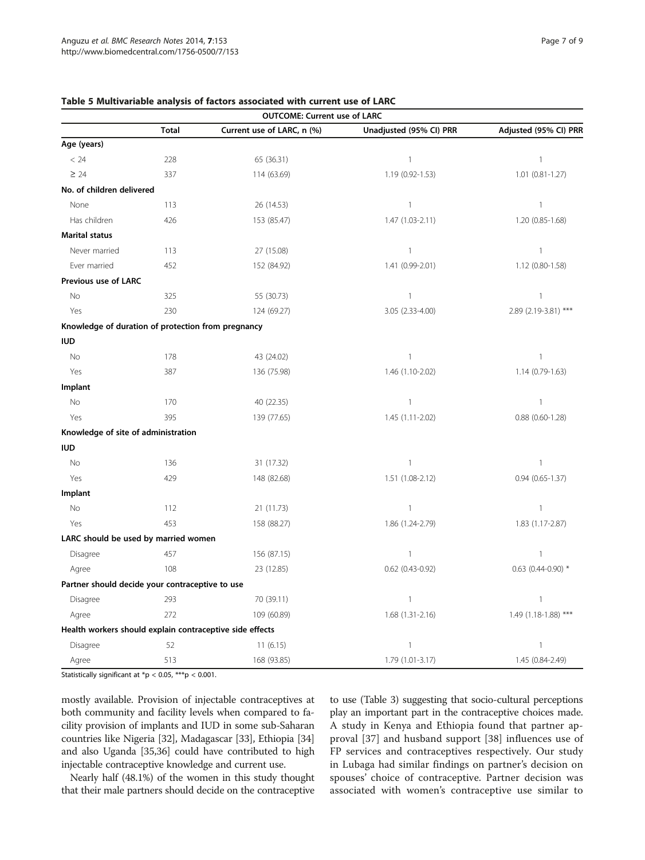|                                                          |              | <b>OUTCOME: Current use of LARC</b> |                         |                        |
|----------------------------------------------------------|--------------|-------------------------------------|-------------------------|------------------------|
|                                                          | <b>Total</b> | Current use of LARC, n (%)          | Unadjusted (95% CI) PRR | Adjusted (95% CI) PRR  |
| Age (years)                                              |              |                                     |                         |                        |
| < 24                                                     | 228          | 65 (36.31)                          | $\mathbf{1}$            | $\mathbf{1}$           |
| $\geq 24$                                                | 337          | 114 (63.69)                         | 1.19 (0.92-1.53)        | 1.01 (0.81-1.27)       |
| No. of children delivered                                |              |                                     |                         |                        |
| None                                                     | 113          | 26 (14.53)                          | $\mathbf{1}$            | $\mathbf{1}$           |
| Has children                                             | 426          | 153 (85.47)                         | 1.47 (1.03-2.11)        | 1.20 (0.85-1.68)       |
| <b>Marital status</b>                                    |              |                                     |                         |                        |
| Never married                                            | 113          | 27 (15.08)                          | $\mathbf{1}$            | $\mathbf{1}$           |
| Ever married                                             | 452          | 152 (84.92)                         | 1.41 (0.99-2.01)        | 1.12 (0.80-1.58)       |
| Previous use of LARC                                     |              |                                     |                         |                        |
| <b>No</b>                                                | 325          | 55 (30.73)                          | $\mathbf{1}$            | $\mathbf{1}$           |
| Yes                                                      | 230          | 124 (69.27)                         | 3.05 (2.33-4.00)        | 2.89 (2.19-3.81) ***   |
| Knowledge of duration of protection from pregnancy       |              |                                     |                         |                        |
| <b>IUD</b>                                               |              |                                     |                         |                        |
| No                                                       | 178          | 43 (24.02)                          | $\mathbf{1}$            | $\mathbf{1}$           |
| Yes                                                      | 387          | 136 (75.98)                         | 1.46 (1.10-2.02)        | 1.14 (0.79-1.63)       |
| Implant                                                  |              |                                     |                         |                        |
| No                                                       | 170          | 40 (22.35)                          | $\mathbf{1}$            | $\mathbf{1}$           |
| Yes                                                      | 395          | 139 (77.65)                         | 1.45 (1.11-2.02)        | $0.88$ $(0.60 - 1.28)$ |
| Knowledge of site of administration                      |              |                                     |                         |                        |
| <b>IUD</b>                                               |              |                                     |                         |                        |
| No                                                       | 136          | 31 (17.32)                          | $\mathbf{1}$            | $\overline{1}$         |
| Yes                                                      | 429          | 148 (82.68)                         | 1.51 (1.08-2.12)        | $0.94(0.65 - 1.37)$    |
| Implant                                                  |              |                                     |                         |                        |
| No                                                       | 112          | 21 (11.73)                          | $\mathbf{1}$            | $\mathbf{1}$           |
| Yes                                                      | 453          | 158 (88.27)                         | 1.86 (1.24-2.79)        | 1.83 (1.17-2.87)       |
| LARC should be used by married women                     |              |                                     |                         |                        |
| Disagree                                                 | 457          | 156 (87.15)                         | $\mathbf{1}$            | $\mathbf{1}$           |
| Agree                                                    | 108          | 23 (12.85)                          | $0.62$ $(0.43 - 0.92)$  | $0.63$ (0.44-0.90) *   |
| Partner should decide your contraceptive to use          |              |                                     |                         |                        |
| Disagree                                                 | 293          | 70 (39.11)                          | $\mathbf{1}$            | $\mathbf{1}$           |
| Agree                                                    | 272          | 109 (60.89)                         | 1.68 (1.31-2.16)        | 1.49 (1.18-1.88) ***   |
| Health workers should explain contraceptive side effects |              |                                     |                         |                        |
| Disagree                                                 | 52           | 11(6.15)                            | $\mathbf{1}$            | $\mathbf{1}$           |
| Agree                                                    | 513          | 168 (93.85)                         | 1.79 (1.01-3.17)        | 1.45 (0.84-2.49)       |

#### <span id="page-6-0"></span>Table 5 Multivariable analysis of factors associated with current use of LARC

Statistically significant at \*p < 0.05, \*\*\*p < 0.001.

mostly available. Provision of injectable contraceptives at both community and facility levels when compared to facility provision of implants and IUD in some sub-Saharan countries like Nigeria [\[32\]](#page-8-0), Madagascar [[33](#page-8-0)], Ethiopia [[34](#page-8-0)] and also Uganda [\[35,36](#page-8-0)] could have contributed to high injectable contraceptive knowledge and current use.

Nearly half (48.1%) of the women in this study thought that their male partners should decide on the contraceptive to use (Table [3](#page-3-0)) suggesting that socio-cultural perceptions play an important part in the contraceptive choices made. A study in Kenya and Ethiopia found that partner approval [[37\]](#page-8-0) and husband support [[38\]](#page-8-0) influences use of FP services and contraceptives respectively. Our study in Lubaga had similar findings on partner's decision on spouses' choice of contraceptive. Partner decision was associated with women's contraceptive use similar to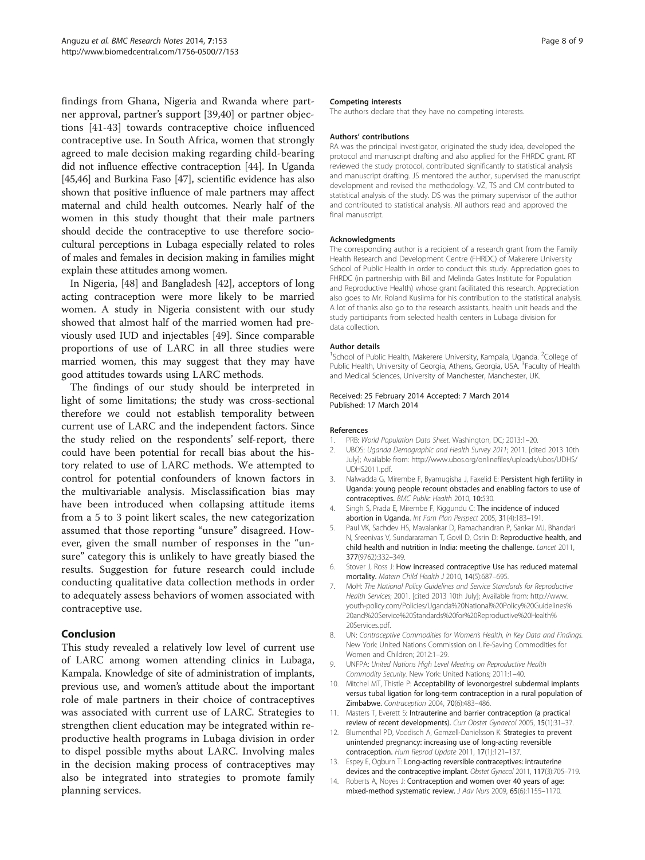<span id="page-7-0"></span>findings from Ghana, Nigeria and Rwanda where partner approval, partner's support [\[39](#page-8-0),[40\]](#page-8-0) or partner objections [\[41](#page-8-0)-[43\]](#page-8-0) towards contraceptive choice influenced contraceptive use. In South Africa, women that strongly agreed to male decision making regarding child-bearing did not influence effective contraception [\[44\]](#page-8-0). In Uganda [[45,46](#page-8-0)] and Burkina Faso [\[47\]](#page-8-0), scientific evidence has also shown that positive influence of male partners may affect maternal and child health outcomes. Nearly half of the women in this study thought that their male partners should decide the contraceptive to use therefore sociocultural perceptions in Lubaga especially related to roles of males and females in decision making in families might explain these attitudes among women.

In Nigeria, [[48\]](#page-8-0) and Bangladesh [[42](#page-8-0)], acceptors of long acting contraception were more likely to be married women. A study in Nigeria consistent with our study showed that almost half of the married women had previously used IUD and injectables [\[49](#page-8-0)]. Since comparable proportions of use of LARC in all three studies were married women, this may suggest that they may have good attitudes towards using LARC methods.

The findings of our study should be interpreted in light of some limitations; the study was cross-sectional therefore we could not establish temporality between current use of LARC and the independent factors. Since the study relied on the respondents' self-report, there could have been potential for recall bias about the history related to use of LARC methods. We attempted to control for potential confounders of known factors in the multivariable analysis. Misclassification bias may have been introduced when collapsing attitude items from a 5 to 3 point likert scales, the new categorization assumed that those reporting "unsure" disagreed. However, given the small number of responses in the "unsure" category this is unlikely to have greatly biased the results. Suggestion for future research could include conducting qualitative data collection methods in order to adequately assess behaviors of women associated with contraceptive use.

## Conclusion

This study revealed a relatively low level of current use of LARC among women attending clinics in Lubaga, Kampala. Knowledge of site of administration of implants, previous use, and women's attitude about the important role of male partners in their choice of contraceptives was associated with current use of LARC. Strategies to strengthen client education may be integrated within reproductive health programs in Lubaga division in order to dispel possible myths about LARC. Involving males in the decision making process of contraceptives may also be integrated into strategies to promote family planning services.

#### Competing interests

The authors declare that they have no competing interests.

#### Authors' contributions

RA was the principal investigator, originated the study idea, developed the protocol and manuscript drafting and also applied for the FHRDC grant. RT reviewed the study protocol, contributed significantly to statistical analysis and manuscript drafting. JS mentored the author, supervised the manuscript development and revised the methodology. VZ, TS and CM contributed to statistical analysis of the study. DS was the primary supervisor of the author and contributed to statistical analysis. All authors read and approved the final manuscript.

#### Acknowledgments

The corresponding author is a recipient of a research grant from the Family Health Research and Development Centre (FHRDC) of Makerere University School of Public Health in order to conduct this study. Appreciation goes to FHRDC (in partnership with Bill and Melinda Gates Institute for Population and Reproductive Health) whose grant facilitated this research. Appreciation also goes to Mr. Roland Kusiima for his contribution to the statistical analysis. A lot of thanks also go to the research assistants, health unit heads and the study participants from selected health centers in Lubaga division for data collection.

#### Author details

<sup>1</sup>School of Public Health, Makerere University, Kampala, Uganda. <sup>2</sup>College of Public Health, University of Georgia, Athens, Georgia, USA. <sup>3</sup> Faculty of Health and Medical Sciences, University of Manchester, Manchester, UK.

#### Received: 25 February 2014 Accepted: 7 March 2014 Published: 17 March 2014

#### References

- 1. PRB: World Population Data Sheet. Washington, DC; 2013:1–20.
- 2. UBOS: Uganda Demographic and Health Survey 2011; 2011. [cited 2013 10th July]; Available from: [http://www.ubos.org/onlinefiles/uploads/ubos/UDHS/](http://www.ubos.org/onlinefiles/uploads/ubos/UDHS/UDHS2011.pdf) [UDHS2011.pdf.](http://www.ubos.org/onlinefiles/uploads/ubos/UDHS/UDHS2011.pdf)
- 3. Nalwadda G, Mirembe F, Byamugisha J, Faxelid E: Persistent high fertility in Uganda: young people recount obstacles and enabling factors to use of contraceptives. BMC Public Health 2010, 10:530.
- 4. Singh S, Prada E, Mirembe F, Kiggundu C: The incidence of induced abortion in Uganda. Int Fam Plan Perspect 2005, 31(4):183–191.
- 5. Paul VK, Sachdev HS, Mavalankar D, Ramachandran P, Sankar MJ, Bhandari N, Sreenivas V, Sundararaman T, Govil D, Osrin D: Reproductive health, and child health and nutrition in India: meeting the challenge. Lancet 2011, 377(9762):332–349.
- 6. Stover J, Ross J: How increased contraceptive Use has reduced maternal mortality. Matern Child Health J 2010, 14(5):687–695.
- 7. MoH: The National Policy Guidelines and Service Standards for Reproductive Health Services; 2001. [cited 2013 10th July]; Available from: [http://www.](http://www.youth-policy.com/Policies/Uganda%20National%20Policy%20Guidelines%20and%20Service%20Standards%20for%20Reproductive%20Health%20Services.pdf) [youth-policy.com/Policies/Uganda%20National%20Policy%20Guidelines%](http://www.youth-policy.com/Policies/Uganda%20National%20Policy%20Guidelines%20and%20Service%20Standards%20for%20Reproductive%20Health%20Services.pdf) [20and%20Service%20Standards%20for%20Reproductive%20Health%](http://www.youth-policy.com/Policies/Uganda%20National%20Policy%20Guidelines%20and%20Service%20Standards%20for%20Reproductive%20Health%20Services.pdf) [20Services.pdf.](http://www.youth-policy.com/Policies/Uganda%20National%20Policy%20Guidelines%20and%20Service%20Standards%20for%20Reproductive%20Health%20Services.pdf)
- 8. UN: Contraceptive Commodities for Women's Health, in Key Data and Findings. New York: United Nations Commission on Life-Saving Commodities for Women and Children; 2012:1–29.
- 9. UNFPA: United Nations High Level Meeting on Reproductive Health Commodity Security. New York: United Nations; 2011:1–40.
- 10. Mitchel MT, Thistle P: Acceptability of levonorgestrel subdermal implants versus tubal ligation for long-term contraception in a rural population of Zimbabwe. Contraception 2004, 70(6):483–486.
- 11. Masters T, Everett S: Intrauterine and barrier contraception (a practical review of recent developments). Curr Obstet Gynaecol 2005, 15(1):31–37.
- 12. Blumenthal PD, Voedisch A, Gemzell-Danielsson K: Strategies to prevent unintended pregnancy: increasing use of long-acting reversible contraception. Hum Reprod Update 2011, 17(1):121–137.
- 13. Espey E, Ogburn T: Long-acting reversible contraceptives: intrauterine devices and the contraceptive implant. Obstet Gynecol 2011, 117(3):705-719.
- 14. Roberts A, Noyes J: Contraception and women over 40 years of age: mixed-method systematic review. J Adv Nurs 2009, 65(6):1155–1170.